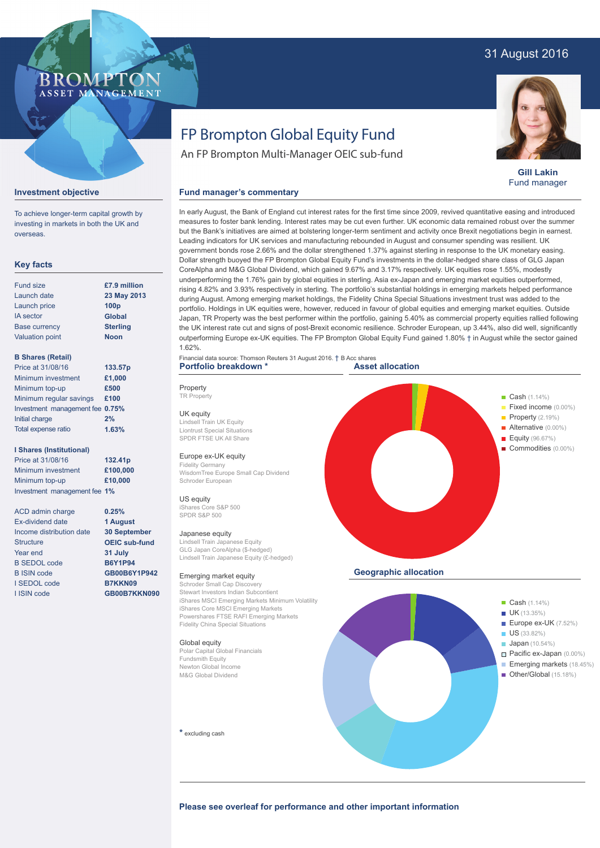# 31 August 2016



**Gill Lakin** Fund manager

**Emerging markets** (18.45%) Other/Global (15.18%)

#### **Investment objective**

To achieve longer-term capital growth by investing in markets in both the UK and overseas.

#### **Key facts**

| <b>Fund size</b>       | £7.9 million     |
|------------------------|------------------|
| Launch date            | 23 May 2013      |
| Launch price           | 100 <sub>p</sub> |
| <b>IA</b> sector       | <b>Global</b>    |
| <b>Base currency</b>   | <b>Sterling</b>  |
| <b>Valuation point</b> | <b>Noon</b>      |
|                        |                  |

### **B Shares (Retail)**

| Price at 31/08/16               | 133.57p |
|---------------------------------|---------|
| Minimum investment              | £1.000  |
| Minimum top-up                  | £500    |
| Minimum regular savings         | £100    |
| Investment management fee 0.75% |         |
| Initial charge                  | 2%      |
| Total expense ratio             | 1.63%   |

#### **I Shares (Institutional)**

Price at 31/08/16 Minimum investment Minimum top-up Investment management fee **1% 132.41p £100,000 £10,000**

ACD admin charge Ex-dividend date Income distribution date **Structure** Year end B SEDOL code B ISIN code I SEDOL code I ISIN code

#### **0.25% 1 August 30 September OEIC sub-fund 31 July B6Y1P94 GB00B6Y1P942 B7KKN09 GB00B7KKN090**

FP Brompton Global Equity Fund An FP Brompton Multi-Manager OEIC sub-fund

# **Fund manager's commentary**

In early August, the Bank of England cut interest rates for the first time since 2009, revived quantitative easing and introduced measures to foster bank lending. Interest rates may be cut even further. UK economic data remained robust over the summer but the Bank's initiatives are aimed at bolstering longer-term sentiment and activity once Brexit negotiations begin in earnest. Leading indicators for UK services and manufacturing rebounded in August and consumer spending was resilient. UK government bonds rose 2.66% and the dollar strengthened 1.37% against sterling in response to the UK monetary easing. Dollar strength buoyed the FP Brompton Global Equity Fund's investments in the dollar-hedged share class of GLG Japan CoreAlpha and M&G Global Dividend, which gained 9.67% and 3.17% respectively. UK equities rose 1.55%, modestly underperforming the 1.76% gain by global equities in sterling. Asia ex-Japan and emerging market equities outperformed, rising 4.82% and 3.93% respectively in sterling. The portfolio's substantial holdings in emerging markets helped performance during August. Among emerging market holdings, the Fidelity China Special Situations investment trust was added to the portfolio. Holdings in UK equities were, however, reduced in favour of global equities and emerging market equities. Outside Japan, TR Property was the best performer within the portfolio, gaining 5.40% as commercial property equities rallied following the UK interest rate cut and signs of post-Brexit economic resilience. Schroder European, up 3.44%, also did well, significantly outperforming Europe ex-UK equities. The FP Brompton Global Equity Fund gained 1.80% † in August while the sector gained 1.62%.

#### Financial data source: Thomson Reuters 31 August 2016. † B Acc shares **Portfolio breakdown \***

Property TR Property UK equity

Lindsell Train UK Equity Liontrust Special Situations SPDR FTSE UK All Share

# Europe ex-UK equity

Fidelity Germany WisdomTree Europe Small Cap Dividend Schroder European

#### US equity

iShares Core S&P 500 SPDR S&P 500

#### Japanese equity

Lindsell Train Japanese Equity GLG Japan CoreAlpha (\$-hedged) Lindsell Train Japanese Equity (£-hedged)

#### Emerging market equity

Schroder Small Cap Discovery Stewart Investors Indian Subcontient iShares MSCI Emerging Markets Minimum Volatility iShares Core MSCI Emerging Markets Powershares FTSE RAFI Emerging Markets Fidelity China Special Situations

#### Global equity

Polar Capital Global Financials Fundsmith Equity Newton Global Income M&G Global Dividend

 $*$  excluding cash